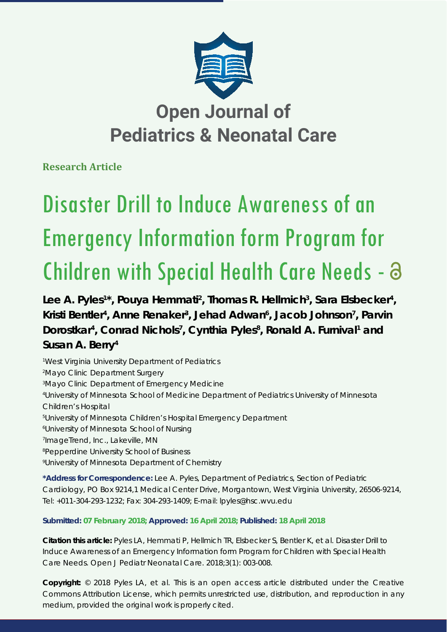

**Research Article**

# Disaster Drill to Induce Awareness of an Emergency Information form Program for Children with Special Health Care Needs -

Lee A. Pyles<sup>1\*</sup>, Pouya Hemmati<sup>2</sup>, Thomas R. Hellmich<sup>3</sup>, Sara Elsbecker<sup>4</sup>, Kristi Bentler<sup>4</sup>, Anne Renaker<sup>3</sup>, Jehad Adwan<sup>6</sup>, Jacob Johnson<sup>7</sup>, Parvin Dorostkar<sup>4</sup>, Conrad Nichols<sup>7</sup>, Cynthia Pyles<sup>8</sup>, Ronald A. Furnival<sup>1</sup> and **Susan A. Berry4**

 *West Virginia University Department of Pediatrics Mayo Clinic Department Surgery Mayo Clinic Department of Emergency Medicine University of Minnesota School of Medicine Department of Pediatrics University of Minnesota Children's Hospital University of Minnesota Children's Hospital Emergency Department University of Minnesota School of Nursing ImageTrend, Inc., Lakeville, MN Pepperdine University School of Business University of Minnesota Department of Chemistry*

**\*Address for Correspondence:** Lee A. Pyles, Department of Pediatrics, Section of Pediatric Cardiology, PO Box 9214,1 Medical Center Drive, Morgantown, West Virginia University, 26506-9214, Tel: +011-304-293-1232; Fax: 304-293-1409; E-mail: lpyles@hsc.wvu.edu

# **Submitted: 07 February 2018; Approved: 16 April 2018; Published: 18 April 2018**

**Citation this article:** Pyles LA, Hemmati P, Hellmich TR, Elsbecker S, Bentler K, et al. Disaster Drill to Induce Awareness of an Emergency Information form Program for Children with Special Health Care Needs. Open J Pediatr Neonatal Care. 2018;3(1): 003-008.

**Copyright:** © 2018 Pyles LA, et al. This is an open access article distributed under the Creative Commons Attribution License, which permits unrestricted use, distribution, and reproduction in any medium, provided the original work is properly cited.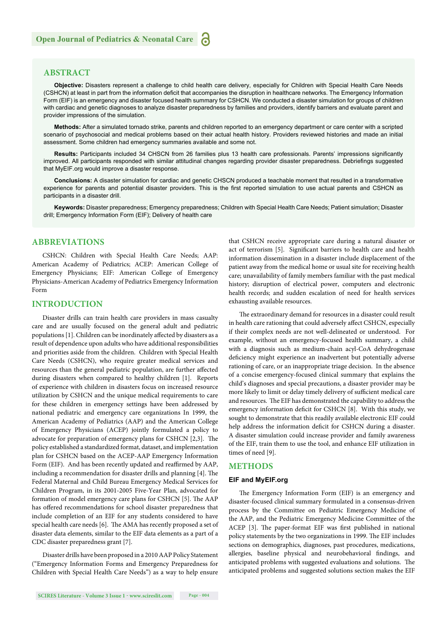# **ABSTRACT**

**Objective:** Disasters represent a challenge to child health care delivery, especially for Children with Special Health Care Needs (CSHCN) at least in part from the information deficit that accompanies the disruption in healthcare networks. The Emergency Information Form (EIF) is an emergency and disaster focused health summary for CSHCN. We conducted a disaster simulation for groups of children with cardiac and genetic diagnoses to analyze disaster preparedness by families and providers, identify barriers and evaluate parent and provider impressions of the simulation.

**Methods:** After a simulated tornado strike, parents and children reported to an emergency department or care center with a scripted scenario of psychosocial and medical problems based on their actual health history. Providers reviewed histories and made an initial assessment. Some children had emergency summaries available and some not.

**Results:** Participants included 34 CHSCN from 26 families plus 13 health care professionals. Parents' impressions significantly improved. All participants responded with similar attitudinal changes regarding provider disaster preparedness. Debriefings suggested that MyEIF.org would improve a disaster response.

**Conclusions:** A disaster simulation for cardiac and genetic CHSCN produced a teachable moment that resulted in a transformative experience for parents and potential disaster providers. This is the first reported simulation to use actual parents and CSHCN as participants in a disaster drill.

**Keywords:** Disaster preparedness; Emergency preparedness; Children with Special Health Care Needs; Patient simulation; Disaster drill; Emergency Information Form (EIF); Delivery of health care

# **ABBREVIATIONS**

CSHCN: Children with Special Health Care Needs; AAP: American Academy of Pediatrics; ACEP: American College of Emergency Physicians; EIF: American College of Emergency Physicians-American Academy of Pediatrics Emergency Information Form

## **INTRODUCTION**

Disaster drills can train health care providers in mass casualty care and are usually focused on the general adult and pediatric populations [1]. Children can be inordinately affected by disasters as a result of dependence upon adults who have additional responsibilities and priorities aside from the children. Children with Special Health Care Needs (CSHCN), who require greater medical services and resources than the general pediatric population, are further affected during disasters when compared to healthy children [1]. Reports of experience with children in disasters focus on increased resource utilization by CSHCN and the unique medical requirements to care for these children in emergency settings have been addressed by national pediatric and emergency care organizations In 1999, the American Academy of Pediatrics (AAP) and the American College of Emergency Physicians (ACEP) jointly formulated a policy to advocate for preparation of emergency plans for CSHCN [2,3]. The policy established a standardized format, dataset, and implementation plan for CSHCN based on the ACEP-AAP Emergency Information Form (EIF). And has been recently updated and reaffirmed by AAP, including a recommendation for disaster drills and planning [4]. The Federal Maternal and Child Bureau Emergency Medical Services for Children Program, in its 2001-2005 Five-Year Plan, advocated for formation of model emergency care plans for CSHCN [5]. The AAP has offered recommendations for school disaster preparedness that include completion of an EIF for any students considered to have special health care needs [6]. The AMA has recently proposed a set of disaster data elements, similar to the EIF data elements as a part of a CDC disaster preparedness grant [7].

Disaster drills have been proposed in a 2010 AAP Policy Statement ("Emergency Information Forms and Emergency Preparedness for Children with Special Health Care Needs") as a way to help ensure

**SCIRES Literature - Volume 3 Issue 1 - www.scireslit.com Page - 004**

that CSHCN receive appropriate care during a natural disaster or act of terrorism [5]. Significant barriers to health care and health information dissemination in a disaster include displacement of the patient away from the medical home or usual site for receiving health care; unavailability of family members familiar with the past medical history; disruption of electrical power, computers and electronic health records; and sudden escalation of need for health services exhausting available resources.

The extraordinary demand for resources in a disaster could result in health care rationing that could adversely affect CSHCN, especially if their complex needs are not well-delineated or understood. For example, without an emergency-focused health summary, a child with a diagnosis such as medium-chain acyl-CoA dehydrogenase deficiency might experience an inadvertent but potentially adverse rationing of care, or an inappropriate triage decision. In the absence of a concise emergency-focused clinical summary that explains the child's diagnoses and special precautions, a disaster provider may be more likely to limit or delay timely delivery of sufficient medical care and resources. The EIF has demonstrated the capability to address the emergency information deficit for CSHCN [8]. With this study, we sought to demonstrate that this readily available electronic EIF could help address the information deficit for CSHCN during a disaster. A disaster simulation could increase provider and family awareness of the EIF, train them to use the tool, and enhance EIF utilization in times of need [9].

## **METHODS**

#### **EIF and MyEIF.org**

The Emergency Information Form (EIF) is an emergency and disaster-focused clinical summary formulated in a consensus-driven process by the Committee on Pediatric Emergency Medicine of the AAP, and the Pediatric Emergency Medicine Committee of the ACEP [3]. The paper-format EIF was first published in national policy statements by the two organizations in 1999. The EIF includes sections on demographics, diagnoses, past procedures, medications, allergies, baseline physical and neurobehavioral findings, and anticipated problems with suggested evaluations and solutions. The anticipated problems and suggested solutions section makes the EIF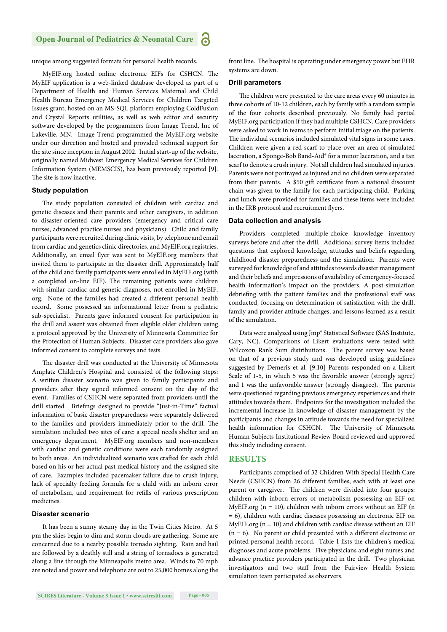# **Open Journal of Pediatrics & Neonatal Care**

unique among suggested formats for personal health records.

MyEIF.org hosted online electronic EIFs for CSHCN. The MyEIF application is a web-linked database developed as part of a Department of Health and Human Services Maternal and Child Health Bureau Emergency Medical Services for Children Targeted Issues grant, hosted on an MS-SQL platform employing ColdFusion and Crystal Reports utilities, as well as web editor and security soft ware developed by the programmers from Image Trend, Inc of Lakeville, MN. Image Trend programmed the MyEIF.org website under our direction and hosted and provided technical support for the site since inception in August 2002. Initial start-up of the website, originally named Midwest Emergency Medical Services for Children Information System (MEMSCIS), has been previously reported [9]. The site is now inactive.

## **Study population**

The study population consisted of children with cardiac and genetic diseases and their parents and other caregivers, in addition to disaster-oriented care providers (emergency and critical care nurses, advanced practice nurses and physicians). Child and family participants were recruited during clinic visits, by telephone and email from cardiac and genetics clinic directories, and MyEIF.org registries. Additionally, an email flyer was sent to MyEIF.org members that invited them to participate in the disaster drill. Approximately half of the child and family participants were enrolled in MyEIF.org (with a completed on-line EIF). The remaining patients were children with similar cardiac and genetic diagnoses, not enrolled in MyEIF. org. None of the families had created a different personal health record. Some possessed an informational letter from a pediatric sub-specialist. Parents gave informed consent for participation in the drill and assent was obtained from eligible older children using a protocol approved by the University of Minnesota Committee for the Protection of Human Subjects. Disaster care providers also gave informed consent to complete surveys and tests.

The disaster drill was conducted at the University of Minnesota Amplatz Children's Hospital and consisted of the following steps: A written disaster scenario was given to family participants and providers after they signed informed consent on the day of the event. Families of CSHCN were separated from providers until the drill started. Briefings designed to provide "Just-in-Time" factual information of basic disaster preparedness were separately delivered to the families and providers immediately prior to the drill. The simulation included two sites of care: a special needs shelter and an emergency department. MyEIF.org members and non-members with cardiac and genetic conditions were each randomly assigned to both areas. An individualized scenario was crafted for each child based on his or her actual past medical history and the assigned site of care. Examples included pacemaker failure due to crush injury, lack of specialty feeding formula for a child with an inborn error of metabolism, and requirement for refills of various prescription medicines.

#### **Disaster scenario**

It has been a sunny steamy day in the Twin Cities Metro. At 5 pm the skies begin to dim and storm clouds are gathering. Some are concerned due to a nearby possible tornado sighting. Rain and hail are followed by a deathly still and a string of tornadoes is generated along a line through the Minneapolis metro area. Winds to 70 mph are noted and power and telephone are out to 25,000 homes along the front line. The hospital is operating under emergency power but EHR systems are down.

#### **Drill parameters**

The children were presented to the care areas every 60 minutes in three cohorts of 10-12 children, each by family with a random sample of the four cohorts described previously. No family had partial MyEIF.org participation if they had multiple CSHCN. Care providers were asked to work in teams to perform initial triage on the patients. The individual scenarios included simulated vital signs in some cases. Children were given a red scarf to place over an area of simulated laceration, a Sponge-Bob Band-Aid® for a minor laceration, and a tan scarf to denote a crush injury. Not all children had simulated injuries. Parents were not portrayed as injured and no children were separated from their parents. A \$50 gift certificate from a national discount chain was given to the family for each participating child. Parking and lunch were provided for families and these items were included in the IRB protocol and recruitment flyers.

#### **Data collection and analysis**

Providers completed multiple-choice knowledge inventory surveys before and after the drill. Additional survey items included questions that explored knowledge, attitudes and beliefs regarding childhood disaster preparedness and the simulation. Parents were surveyed for knowledge of and attitudes towards disaster management and their beliefs and impressions of availability of emergency-focused health information's impact on the providers. A post-simulation debriefing with the patient families and the professional staff was conducted, focusing on determination of satisfaction with the drill, family and provider attitude changes, and lessons learned as a result of the simulation.

Data were analyzed using Jmp® Statistical Software (SAS Institute, Cary, NC). Comparisons of Likert evaluations were tested with Wilcoxon Rank Sum distributions. The parent survey was based on that of a previous study and was developed using guidelines suggested by Demeris et al. [9,10] Parents responded on a Likert Scale of 1-5, in which 5 was the favorable answer (strongly agree) and 1 was the unfavorable answer (strongly disagree). The parents were questioned regarding previous emergency experiences and their attitudes towards them. Endpoints for the investigation included the incremental increase in knowledge of disaster management by the participants and changes in attitude towards the need for specialized health information for CSHCN. The University of Minnesota Human Subjects Institutional Review Board reviewed and approved this study including consent.

## **RESULTS**

Participants comprised of 32 Children With Special Health Care Needs (CSHCN) from 26 different families, each with at least one parent or caregiver. The children were divided into four groups: children with inborn errors of metabolism possessing an EIF on MyEIF.org ( $n = 10$ ), children with inborn errors without an EIF ( $n$ = 6), children with cardiac diseases possessing an electronic EIF on MyEIF.org ( $n = 10$ ) and children with cardiac disease without an EIF  $(n = 6)$ . No parent or child presented with a different electronic or printed personal health record. Table 1 lists the children's medical diagnoses and acute problems. Five physicians and eight nurses and advance practice providers participated in the drill. Two physician investigators and two staff from the Fairview Health System simulation team participated as observers.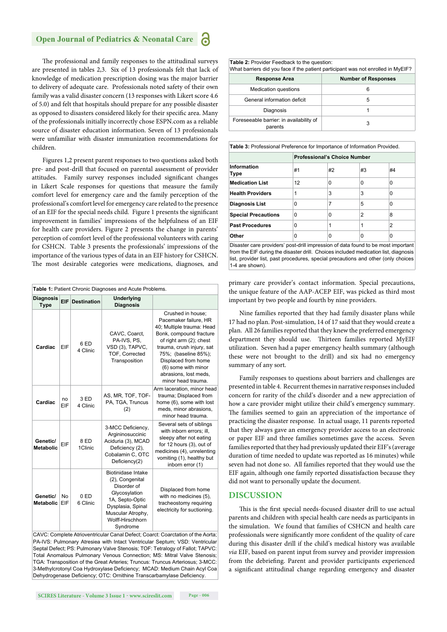# **Open Journal of Pediatrics & Neonatal Care**

The professional and family responses to the attitudinal surveys are presented in tables 2,3. Six of 13 professionals felt that lack of knowledge of medication prescription dosing was the major barrier to delivery of adequate care. Professionals noted safety of their own family was a valid disaster concern (13 responses with Likert score 4.6 of 5.0) and felt that hospitals should prepare for any possible disaster as opposed to disasters considered likely for their specific area. Many of the professionals initially incorrectly chose ESPN.com as a reliable source of disaster education information. Seven of 13 professionals were unfamiliar with disaster immunization recommendations for children.

Figures 1,2 present parent responses to two questions asked both pre- and post-drill that focused on parental assessment of provider attitudes. Family survey responses included significant changes in Likert Scale responses for questions that measure the family comfort level for emergency care and the family perception of the professional's comfort level for emergency care related to the presence of an EIF for the special needs child. Figure 1 presents the significant improvement in families' impressions of the helpfulness of an EIF for health care providers. Figure 2 presents the change in parents' perception of comfort level of the professional volunteers with caring for CSHCN. Table 3 presents the professionals' impressions of the importance of the various types of data in an EIF history for CSHCN. The most desirable categories were medications, diagnoses, and

| Table 1: Patient Chronic Diagnoses and Acute Problems. |                  |                    |                                                                                                                                                                    |                                                                                                                                                                                                                                                                                 |  |  |  |  |
|--------------------------------------------------------|------------------|--------------------|--------------------------------------------------------------------------------------------------------------------------------------------------------------------|---------------------------------------------------------------------------------------------------------------------------------------------------------------------------------------------------------------------------------------------------------------------------------|--|--|--|--|
| <b>Diagnosis</b><br><b>Type</b>                        | EIF              | <b>Destination</b> | Underlying<br><b>Diagnosis</b>                                                                                                                                     |                                                                                                                                                                                                                                                                                 |  |  |  |  |
| Cardiac                                                | EIF              | 6 ED<br>4 Clinic   | CAVC, Coarct,<br>PA-IVS, PS,<br>VSD (3), TAPVC,<br>TOF, Corrected<br>Transposition                                                                                 | Crushed in house;<br>Pacemaker failure, HR<br>40; Multiple trauma: Head<br>Bonk, compound fracture<br>of right arm (2); chest<br>trauma, crush injury, sat<br>75%; (baseline 85%);<br>Displaced from home<br>(6) some with minor<br>abrasions, lost meds,<br>minor head trauma. |  |  |  |  |
| Cardiac                                                | no<br>EIF        | 3 ED<br>4 Clinic   | AS, MR, TOF, TOF-<br>PA, TGA, Truncus<br>(2)                                                                                                                       | Arm laceration, minor head<br>trauma; Displaced from<br>home (6), some with lost<br>meds, minor abrasions,<br>minor head trauma.                                                                                                                                                |  |  |  |  |
| Genetic/<br><b>Metabolic</b>                           | EIF              | 8 ED<br>1Clinic    | 3-MCC Deficiency,<br>Argininosuccinic<br>Aciduria (3), MCAD<br>Deficiency (2),<br>Cobalamin C, OTC<br>Deficiency(2)                                                | Several sets of siblings<br>with inborn errors; ill,<br>sleepy after not eating<br>for 12 hours (3), out of<br>medicines (4), unrelenting<br>vomiting (1), healthy but<br>inborn error (1)                                                                                      |  |  |  |  |
| Genetic/<br><b>Metabolic</b>                           | <b>No</b><br>EIF | 0ED<br>6 Clinic    | Biotinidase Intake<br>(2), Congenital<br>Disorder of<br>Glycosylation<br>1A, Septo-Optic<br>Dysplasia, Spinal<br>Muscular Atrophy,<br>Wolff-Hirschhorn<br>Svndrome | Displaced from home<br>with no medicines (5),<br>tracheostomy requiring<br>electricity for suctioning.                                                                                                                                                                          |  |  |  |  |

CAVC: Complete Atrioventricular Canal Defect; Coarct: Coarctation of the Aorta; PA-IVS: Pulmonary Atresiea with Intact Ventricular Septum; VSD: Ventricular Septal Defect; PS: Pulmonary Valve Stenosis; TOF: Tetralogy of Fallot; TAPVC: Total Anomalous Pulmonary Venous Connection; MS: Mitral Valve Stenosis; TGA: Transposition of the Great Arteries; Truncus: Truncus Arteriosus; 3-MCC: 3-Methylcrotonyl Coa Hydroxylase Deficiency; MCAD: Medium Chain Acyl Coa Dehydrogenase Deficiency; OTC: Ornithine Transcarbamylase Deficiency.

What barriers did you face if the patient participant was not enrolled in MyEIF? **Response Area Number of Responses** Medication questions **6** General information deficit  $\overline{5}$ Diagnosis 1 Foreseeable barrier: in availability of

**Table 2:** Provider Feedback to the question

**Table 3:** Professional Preference for Importance of Information Provided.

parrier: in availability of the state of the state of 3

|                            | <b>Professional's Choice Number</b> |    |    |    |  |
|----------------------------|-------------------------------------|----|----|----|--|
| Information<br>Type        | #1                                  | #2 | #3 | #4 |  |
| <b>Medication List</b>     | 12                                  | 0  | 0  | 0  |  |
| <b>Health Providers</b>    | 1                                   | 3  | 3  | ŋ  |  |
| <b>Diagnosis List</b>      | 0                                   | 7  | 5  | ŋ  |  |
| <b>Special Precautions</b> | 0                                   | O  | 2  | 8  |  |
| <b>Past Procedures</b>     | 0                                   | 1  |    | 2  |  |
| Other                      | 0                                   | O  | O  | o  |  |

Disaster care providers' post-drill impression of data found to be most important from the EIF during the disaster drill. Choices included medication list, diagnosis list, provider list, past procedures, special precautions and other (only choices 1-4 are shown).

primary care provider's contact information. Special precautions, the unique feature of the AAP-ACEP EIF, was picked as third most important by two people and fourth by nine providers.

Nine families reported that they had family disaster plans while 17 had no plan. Post-simulation, 14 of 17 said that they would create a plan. All 26 families reported that they knew the preferred emergency department they should use. Thirteen families reported MyEIF utilization. Seven had a paper emergency health summary (although these were not brought to the drill) and six had no emergency summary of any sort.

Family responses to questions about barriers and challenges are presented in table 4. Recurrent themes in narrative responses included concern for rarity of the child's disorder and a new appreciation of how a care provider might utilize their child's emergency summary. The families seemed to gain an appreciation of the importance of practicing the disaster response. In actual usage, 11 parents reported that they always gave an emergency provider access to an electronic or paper EIF and three families sometimes gave the access. Seven families reported that they had previously updated their EIF's (average duration of time needed to update was reported as 16 minutes) while seven had not done so. All families reported that they would use the EIF again, although one family reported dissatisfaction because they did not want to personally update the document.

## **DISCUSSION**

This is the first special needs-focused disaster drill to use actual parents and children with special health care needs as participants in the simulation. We found that families of CSHCN and health care professionals were significantly more confident of the quality of care during this disaster drill if the child's medical history was available *via* EIF, based on parent input from survey and provider impression from the debriefing. Parent and provider participants experienced a significant attitudinal change regarding emergency and disaster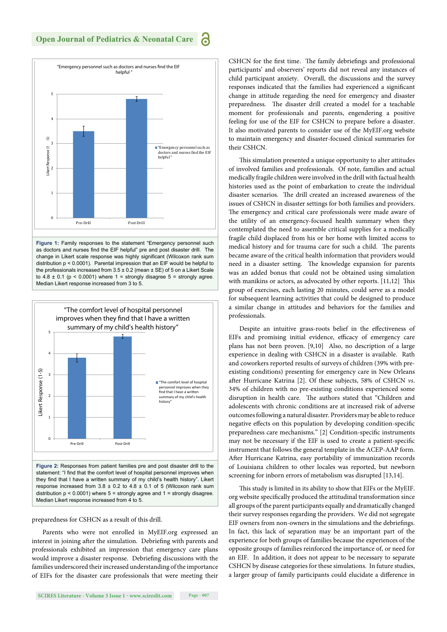

as doctors and nurses find the EIF helpful" pre and post disaster drill. The change in Likert scale response was highly significant (Wilcoxon rank sum distribution p < 0.0001). Parental impression that an EIF would be helpful to the professionals increased from  $3.5 \pm 0.2$  (mean  $\pm$  SE) of 5 on a Likert Scale to  $4.8 \pm 0.1$  (p < 0.0001) where  $1 =$  strongly disagree  $5 =$  strongly agree. Median Likert response increased from 3 to 5.



statement: "I find that the comfort level of hospital personnel improves when they find that I have a written summary of my child's health history". Likert response increased from  $3.8 \pm 0.2$  to  $4.8 \pm 0.1$  of 5 (Wilcoxon rank sum distribution  $p < 0.0001$ ) where  $5 =$  strongly agree and  $1 =$  strongly disagree. Median Likert response increased from 4 to 5.

#### preparedness for CSHCN as a result of this drill.

Parents who were not enrolled in MyEIF.org expressed an interest in joining after the simulation. Debriefing with parents and professionals exhibited an impression that emergency care plans would improve a disaster response. Debriefing discussions with the families underscored their increased understanding of the importance of EIFs for the disaster care professionals that were meeting their

**SCIRES Literature - Volume 3 Issue 1 - www.scireslit.com Page - 007**

CSHCN for the first time. The family debriefings and professional participants' and observers' reports did not reveal any instances of child participant anxiety. Overall, the discussions and the survey responses indicated that the families had experienced a significant change in attitude regarding the need for emergency and disaster preparedness. The disaster drill created a model for a teachable moment for professionals and parents, engendering a positive feeling for use of the EIF for CSHCN to prepare before a disaster. It also motivated parents to consider use of the MyEIF.org website to maintain emergency and disaster-focused clinical summaries for their CSHCN.

This simulation presented a unique opportunity to alter attitudes of involved families and professionals. Of note, families and actual medically fragile children were involved in the drill with factual health histories used as the point of embarkation to create the individual disaster scenarios. The drill created an increased awareness of the issues of CSHCN in disaster settings for both families and providers. The emergency and critical care professionals were made aware of the utility of an emergency-focused health summary when they contemplated the need to assemble critical supplies for a medically fragile child displaced from his or her home with limited access to medical history and for trauma care for such a child. The parents became aware of the critical health information that providers would need in a disaster setting. The knowledge expansion for parents was an added bonus that could not be obtained using simulation with manikins or actors, as advocated by other reports.  $[11,12]$  This group of exercises, each lasting 20 minutes, could serve as a model for subsequent learning activities that could be designed to produce a similar change in attitudes and behaviors for the families and professionals.

Despite an intuitive grass-roots belief in the effectiveness of EIFs and promising initial evidence, efficacy of emergency care plans has not been proven. [9,10] Also, no description of a large experience in dealing with CSHCN in a disaster is available. Rath and coworkers reported results of surveys of children (39% with preexisting conditions) presenting for emergency care in New Orleans after Hurricane Katrina [2]. Of these subjects, 58% of CSHCN *vs*. 34% of children with no pre-existing conditions experienced some disruption in health care. The authors stated that "Children and adolescents with chronic conditions are at increased risk of adverse outcomes following a natural disaster. Providers may be able to reduce negative effects on this population by developing condition-specific preparedness care mechanisms." [2] Condition-specific instruments may not be necessary if the EIF is used to create a patient-specific instrument that follows the general template in the ACEP-AAP form. After Hurricane Katrina, easy portability of immunization records of Louisiana children to other locales was reported, but newborn screening for inborn errors of metabolism was disrupted [13,14].

This study is limited in its ability to show that EIFs or the MyEIF. org website specifically produced the attitudinal transformation since all groups of the parent participants equally and dramatically changed their survey responses regarding the providers. We did not segregate EIF owners from non-owners in the simulations and the debriefings. In fact, this lack of separation may be an important part of the experience for both groups of families because the experiences of the opposite groups of families reinforced the importance of, or need for an EIF. In addition, it does not appear to be necessary to separate CSHCN by disease categories for these simulations. In future studies, a larger group of family participants could elucidate a difference in